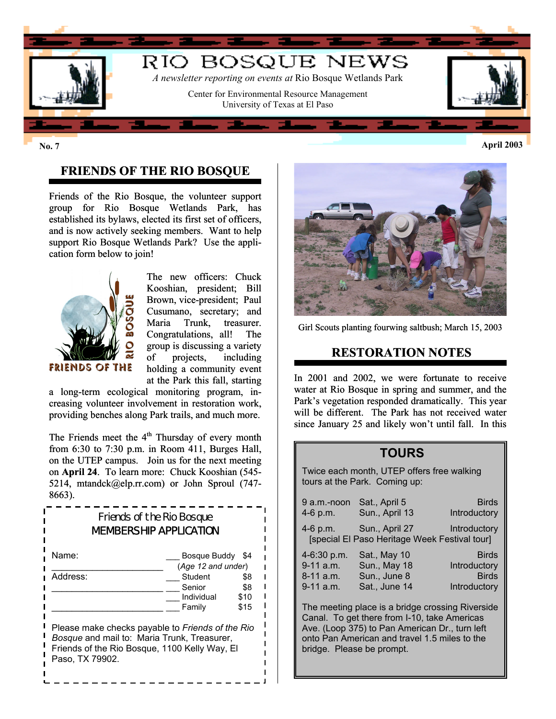

# **FRIENDS OF THE RIO BOSQUE**

Friends of the Rio Bosque, the volunteer support group for Rio Bosque Wetlands Park, has established its bylaws, elected its first set of officers, and is now actively seeking members. Want to help support Rio Bosque Wetlands Park? Use the application form below to join!



The new officers: Chuck Kooshian, president; Bill Brown, vice-president; Paul Cusumano, secretary; and Maria Trunk, treasurer. Congratulations, all! The group is discussing a variety of projects, including holding a community event at the Park this fall, starting

a long-term ecological monitoring program, increasing volunteer involvement in restoration work, providing benches along Park trails, and much more.

The Friends meet the  $4<sup>th</sup>$  Thursday of every month from 6:30 to 7:30 p.m. in Room 411, Burges Hall, on the UTEP campus. Join us for the next meeting on **April 24**. To learn more: Chuck Kooshian (545- 5214, mtandck@elp.rr.com) or John Sproul (747- 8663).

| Friends of the Rio Bosque<br><b>MEMBERSHIP APPLICATION</b>                                                                                                                 |                                    |            |  |
|----------------------------------------------------------------------------------------------------------------------------------------------------------------------------|------------------------------------|------------|--|
| Name:                                                                                                                                                                      | Bosque Buddy<br>(Age 12 and under) | \$4        |  |
| Address:                                                                                                                                                                   | Student<br>Senior                  | \$8<br>\$8 |  |
|                                                                                                                                                                            | Individual                         | \$10       |  |
|                                                                                                                                                                            | Family                             | \$15       |  |
| Please make checks payable to Friends of the Rio<br><i>Bosque</i> and mail to: Maria Trunk, Treasurer,<br>Friends of the Rio Bosque, 1100 Kelly Way, El<br>Paso, TX 79902. |                                    |            |  |



Girl Scouts planting fourwing saltbush; March 15, 2003

#### **RESTORATION NOTES**

In 2001 and 2002, we were fortunate to receive water at Rio Bosque in spring and summer, and the Park's vegetation responded dramatically. This year will be different. The Park has not received water since January 25 and likely won't until fall. In this

### **TOURS**

Twice each month, UTEP offers free walking tours at the Park. Coming up:

| $9$ a.m.-noon<br>4-6 p.m. | Sat., April 5<br>Sun., April 13                                 | <b>Birds</b><br>Introductory |
|---------------------------|-----------------------------------------------------------------|------------------------------|
| 4-6 p.m.                  | Sun., April 27<br>[special El Paso Heritage Week Festival tour] | Introductory                 |
| 4-6:30 p.m.               | Sat., May 10                                                    | <b>Birds</b>                 |
| 9-11 a.m.                 | <b>Sun., May 18</b>                                             | Introductory                 |
| 8-11 a.m.                 | Sun., June 8                                                    | <b>Birds</b>                 |
| 9-11 a.m.                 | Sat., June 14                                                   | Introductory                 |

The meeting place is a bridge crossing Riverside Canal. To get there from I-10, take Americas Ave. (Loop 375) to Pan American Dr., turn left onto Pan American and travel 1.5 miles to the bridge. Please be prompt.